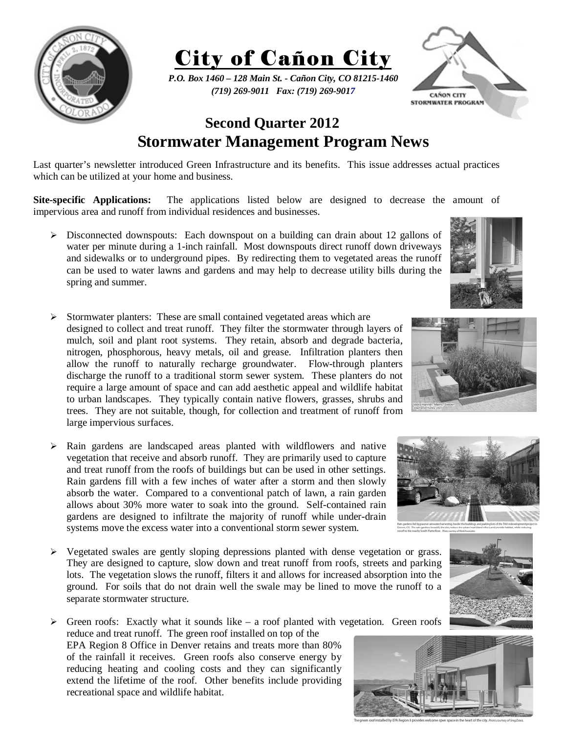

City of Cañon City

*P.O. Box 1460 – 128 Main St. - Cañon City, CO 81215-1460 (719) 269-9011 Fax: (719) 269-9017* 



## **Second Quarter 2012 Stormwater Management Program News**

Last quarter's newsletter introduced Green Infrastructure and its benefits. This issue addresses actual practices which can be utilized at your home and business.

 **Site-specific Applications:** The applications listed below are designed to decrease the amount of impervious area and runoff from individual residences and businesses.

- $\triangleright$  Disconnected downspouts: Each downspout on a building can drain about 12 gallons of water per minute during a 1-inch rainfall. Most downspouts direct runoff down driveways and sidewalks or to underground pipes. By redirecting them to vegetated areas the runoff can be used to water lawns and gardens and may help to decrease utility bills during the spring and summer.
- ¾ Stormwater planters: These are small contained vegetated areas which are designed to collect and treat runoff. They filter the stormwater through layers of mulch, soil and plant root systems. They retain, absorb and degrade bacteria, nitrogen, phosphorous, heavy metals, oil and grease. Infiltration planters then allow the runoff to naturally recharge groundwater. Flow-through planters discharge the runoff to a traditional storm sewer system. These planters do not require a large amount of space and can add aesthetic appeal and wildlife habitat to urban landscapes. They typically contain native flowers, grasses, shrubs and trees. They are not suitable, though, for collection and treatment of runoff from large impervious surfaces.
- $\triangleright$  Rain gardens are landscaped areas planted with wildflowers and native vegetation that receive and absorb runoff. They are primarily used to capture and treat runoff from the roofs of buildings but can be used in other settings. Rain gardens fill with a few inches of water after a storm and then slowly absorb the water. Compared to a conventional patch of lawn, a rain garden allows about 30% more water to soak into the ground. Self-contained rain gardens are designed to infiltrate the majority of runoff while under-drain systems move the excess water into a conventional storm sewer system.
- $\triangleright$  Vegetated swales are gently sloping depressions planted with dense vegetation or grass. They are designed to capture, slow down and treat runoff from roofs, streets and parking lots. The vegetation slows the runoff, filters it and allows for increased absorption into the ground. For soils that do not drain well the swale may be lined to move the runoff to a separate stormwater structure.
- $\triangleright$  Green roofs: Exactly what it sounds like a roof planted with vegetation. Green roofs reduce and treat runoff. The green roof installed on top of the EPA Region 8 Office in Denver retains and treats more than 80% of the rainfall it receives. Green roofs also conserve energy by reducing heating and cooling costs and they can significantly extend the lifetime of the roof. Other benefits include providing recreational space and wildlife habitat.